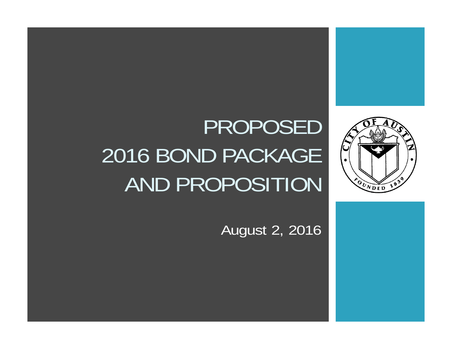



# PROPOSED 2016 BOND PACKAGE AND PROPOSITION

August 2, 2016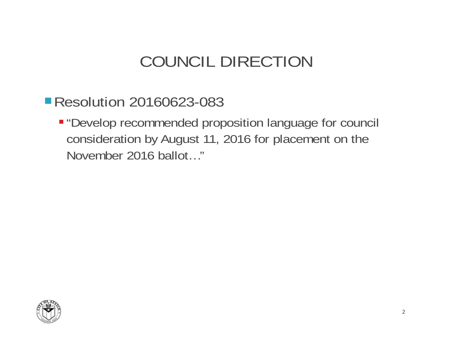#### COUNCIL DIRECTION

#### **Resolution 20160623-083**

 "Develop recommended proposition language for council consideration by August 11, 2016 for placement on the November 2016 ballot…"

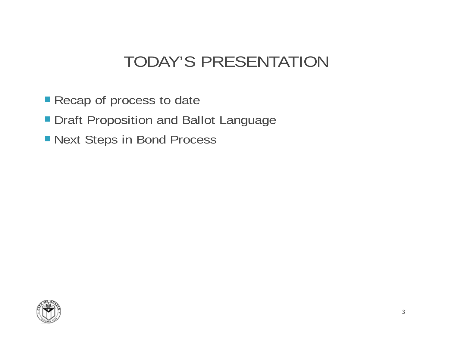#### TODAY'S PRESENTATION

- **Recap of process to date**
- **Draft Proposition and Ballot Language**
- Next Steps in Bond Process

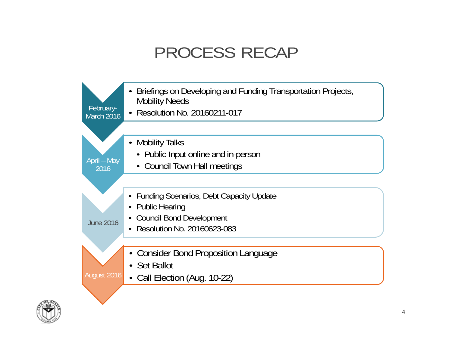#### PROCESS RECAP

|                         | Briefings on Developing and Funding Transportation Projects, |
|-------------------------|--------------------------------------------------------------|
|                         | <b>Mobility Needs</b>                                        |
| February-<br>March 2016 | Resolution No. 20160211-017                                  |
|                         |                                                              |
|                         | <b>Mobility Talks</b>                                        |
|                         | • Public Input online and in-person                          |
| April – May             | • Council Town Hall meetings                                 |
| 2016                    |                                                              |
|                         |                                                              |
|                         | • Funding Scenarios, Debt Capacity Update                    |
|                         | • Public Hearing                                             |
|                         | <b>Council Bond Development</b>                              |
| <b>June 2016</b>        | Resolution No. 20160623-083                                  |
|                         |                                                              |
|                         |                                                              |
|                         | <b>Consider Bond Proposition Language</b>                    |
|                         | • Set Ballot                                                 |
| <b>August 2016</b>      | • Call Election (Aug. 10-22)                                 |
|                         |                                                              |

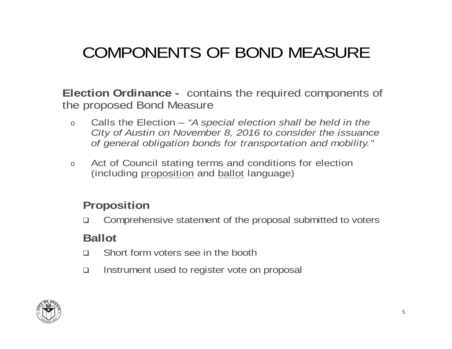# COMPONENTS OF BOND MEASURE

**Election Ordinance -** contains the required components of the proposed Bond Measure

- o Calls the Election – *"A special election shall be held in the City of Austin on November 8, 2016 to consider the issuance of general obligation bonds for transportation and mobility."*
- oAct of Council stating terms and conditions for election (including proposition and ballot language)

#### **Proposition**

 $\Box$ Comprehensive statement of the proposal submitted to voters

#### **Ballot**

- $\Box$ Short form voters see in the booth
- $\Box$ Instrument used to register vote on proposal

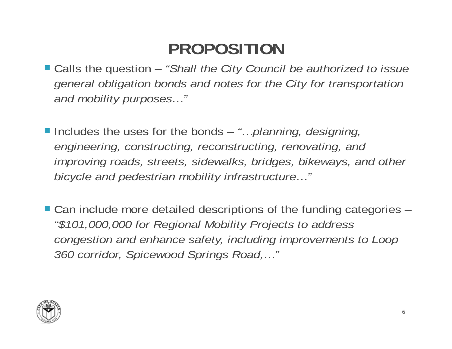### **PROPOSITION**

 Calls the question – *"Shall the City Council be authorized to issue general obligation bonds and notes for the City for transportation and mobility purposes…"*

- Includes the uses for the bonds *"…planning, designing, engineering, constructing, reconstructing, renovating, and improving roads, streets, sidewalks, bridges, bikeways, and other bicycle and pedestrian mobility infrastructure…"*
- Can include more detailed descriptions of the funding categories *"\$101,000,000 for Regional Mobility Projects to address congestion and enhance safety, including improvements to Loop 360 corridor, Spicewood Springs Road,…"*

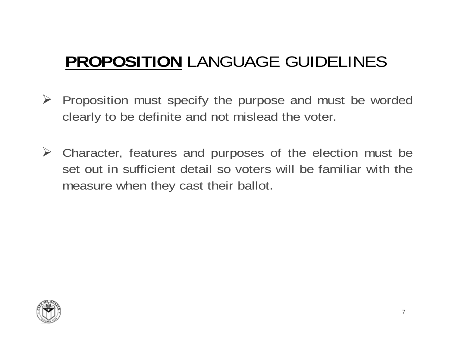# **PROPOSITION** LANGUAGE GUIDELINES

- $\triangleright$  Proposition must specify the purpose and must be worded clearly to be definite and not mislead the voter.
- Character, features and purposes of the election must be set out in sufficient detail so voters will be familiar with themeasure when they cast their ballot.

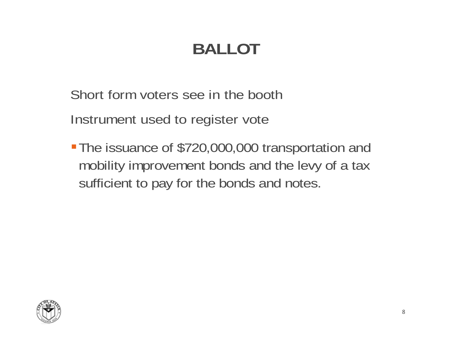# **BALLOT**

Short form voters see in the booth

Instrument used to register vote

The issuance of \$720,000,000 transportation and mobility improvement bonds and the levy of a tax sufficient to pay for the bonds and notes.

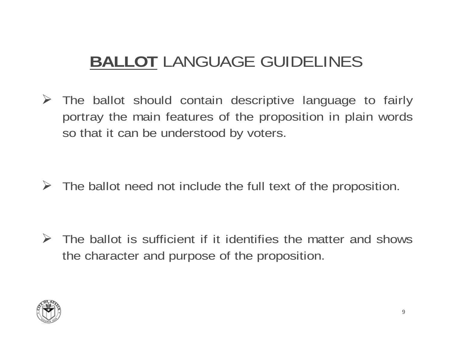### **BALLOT** LANGUAGE GUIDELINES

 The ballot should contain descriptive language to fairly portray the main features of the proposition in plain words so that it can be understood by voters.

 $\triangleright$  The ballot need not include the full text of the proposition.

 $\triangleright$  The ballot is sufficient if it identifies the matter and shows the character and purpose of the proposition.

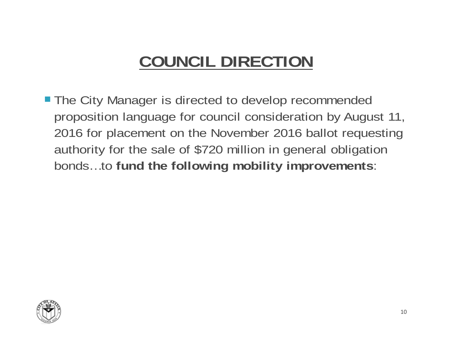#### **COUNCIL DIRECTION**

**The City Manager is directed to develop recommended** proposition language for council consideration by August 11, 2016 for placement on the November 2016 ballot requesting authority for the sale of \$720 million in general obligation bonds…to **fund the following mobility improvements**:

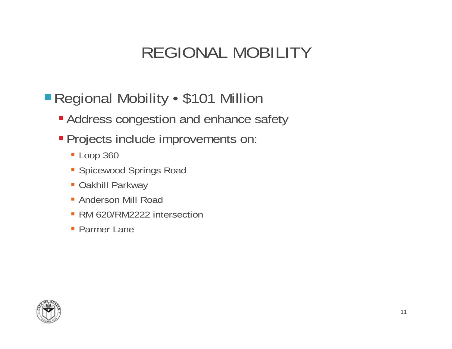#### REGIONAL MOBILITY

#### ■ Regional Mobility • \$101 Million

- Address congestion and enhance safety
- Projects include improvements on:
	- **Loop 360**
	- Spicewood Springs Road
	- Oakhill Parkway
	- Anderson Mill Road
	- RM 620/RM2222 intersection
	- Parmer Lane

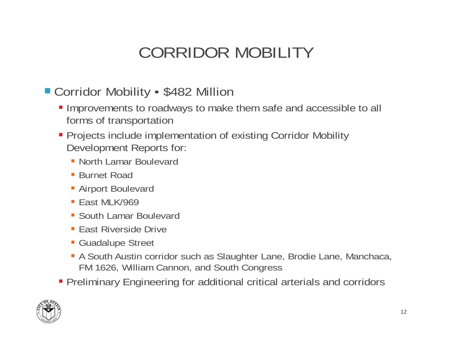### CORRIDOR MOBILITY

#### Corridor Mobility • \$482 Million

- Improvements to roadways to make them safe and accessible to all forms of transportation
- Projects include implementation of existing Corridor Mobility Development Reports for:
	- North Lamar Boulevard
	- Burnet Road
	- Airport Boulevard
	- East MLK/969
	- South Lamar Boulevard
	- East Riverside Drive
	- Guadalupe Street
	- A South Austin corridor such as Slaughter Lane, Brodie Lane, Manchaca, FM 1626, William Cannon, and South Congress
- Preliminary Engineering for additional critical arterials and corridors

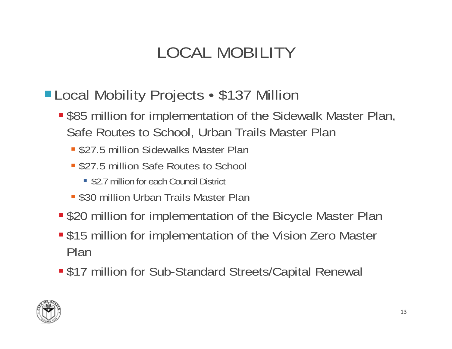# LOCAL MOBILITY

- Local Mobility Projects \$137 Million
	- **S** \$85 million for implementation of the Sidewalk Master Plan, Safe Routes to School, Urban Trails Master Plan
		- **= \$27.5 million Sidewalks Master Plan**
		- \$27.5 million Safe Routes to School
			- \$2.7 million for each Council District
		- **. \$30 million Urban Trails Master Plan**
	- **S20 million for implementation of the Bicycle Master Plan**
	- **S15 million for implementation of the Vision Zero Master** Plan
	- \$17 million for Sub-Standard Streets/Capital Renewal

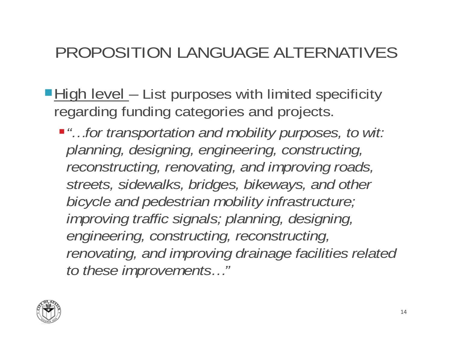#### PROPOSITION LANGUAGE ALTERNATIVES

- ■High level List purposes with limited specificity regarding funding categories and projects.
	- *"…for transportation and mobility purposes, to wit: planning, designing, engineering, constructing, reconstructing, renovating, and improving roads, streets, sidewalks, bridges, bikeways, and other bicycle and pedestrian mobility infrastructure; improving traffic signals; planning, designing, engineering, constructing, reconstructing, renovating, and improving drainage facilities related to these improvements…"*

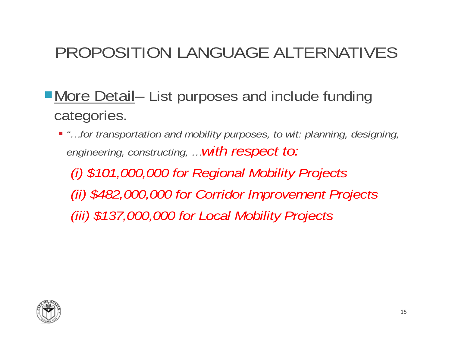### PROPOSITION LANGUAGE ALTERNATIVES

- More Detail- List purposes and include funding categories.
	- *"…for transportation and mobility purposes, to wit: planning, designing, engineering, constructing, …with respect to:*

*(i) \$101,000,000 for Regional Mobility Projects (ii) \$482,000,000 for Corridor Improvement Projects (iii) \$137,000,000 for Local Mobility Projects*

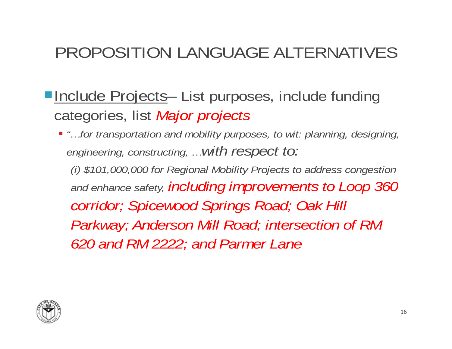### PROPOSITION LANGUAGE ALTERNATIVES

- ■Include Projects- List purposes, include funding categories, list *Major projects*
	- *"…for transportation and mobility purposes, to wit: planning, designing, engineering, constructing, …with respect to: (i) \$101,000,000 for Regional Mobility Projects to address congestion and enhance safety, including improvements to Loop 360 corridor; Spicewood Springs Road; Oak Hill Parkway; Anderson Mill Road; intersection of RM 620 and RM 2222; and Parmer Lane*

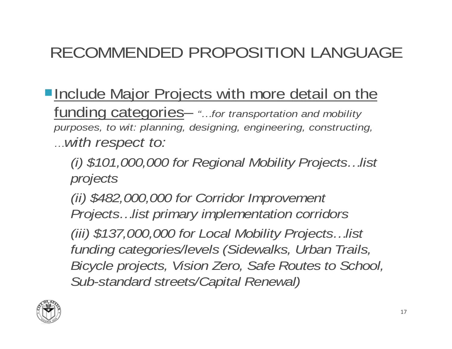## RECOMMENDED PROPOSITION LANGUAGE

- **Include Major Projects with more detail on the** funding categories– *"…for transportation and mobility purposes, to wit: planning, designing, engineering, constructing, …with respect to:*
	- *(i) \$101,000,000 for Regional Mobility Projects…list projects*
	- *(ii) \$482,000,000 for Corridor Improvement Projects…list primary implementation corridors*
	- *(iii) \$137,000,000 for Local Mobility Projects…list funding categories/levels (Sidewalks, Urban Trails, Bicycle projects, Vision Zero, Safe Routes to School, Sub-standard streets/Capital Renewal)*

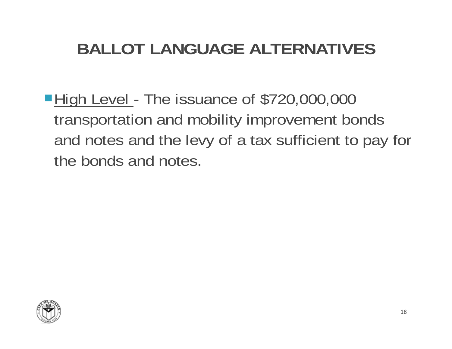# **BALLOT LANGUAGE ALTERNATIVES**

■High Level - The issuance of \$720,000,000 transportation and mobility improvement bonds and notes and the levy of a tax sufficient to pay for the bonds and notes.

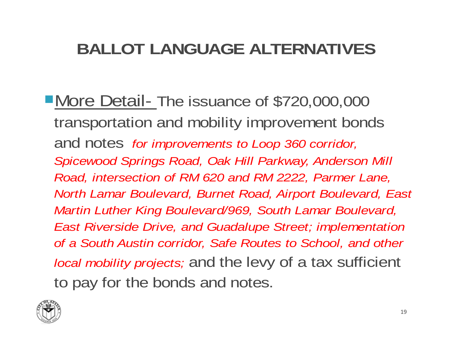# **BALLOT LANGUAGE ALTERNATIVES**

■More Detail- The issuance of \$720,000,000 transportation and mobility improvement bonds and notes *for improvements to Loop 360 corridor, Spicewood Springs Road, Oak Hill Parkway, Anderson Mill Road, intersection of RM 620 and RM 2222, Parmer Lane, North Lamar Boulevard, Burnet Road, Airport Boulevard, East Martin Luther King Boulevard/969, South Lamar Boulevard, East Riverside Drive, and Guadalupe Street; implementation of a South Austin corridor, Safe Routes to School, and other local mobility projects;* and the levy of a tax sufficient to pay for the bonds and notes.

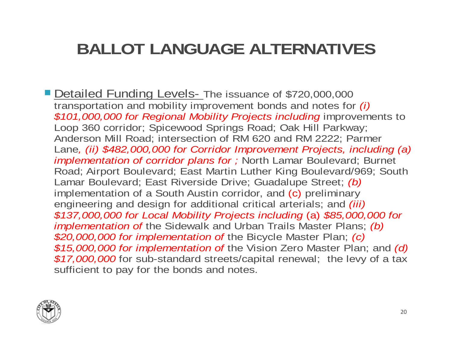### **BALLOT LANGUAGE ALTERNATIVES**

Detailed Funding Levels- The issuance of \$720,000,000 transportation and mobility improvement bonds and notes for *(i)*<br>\$101,000,000 for Regional Mobility Projects including improvements to Loop 360 corridor; Spicewood Springs Road; Oak Hill Parkway; Anderson Mill Road; intersection of RM 620 and RM 2222; Parmer Lane*, (ii) \$482,000,000 for Corridor Improvement Projects, including (a) implementation of corridor plans for ;* North Lamar Boulevard; Burnet Road; Airport Boulevard; East Martin Luther King Boulevard/969; South Lamar Boulevard; East Riverside Drive; Guadalupe Street; *(b)* implementation of a South Austin corridor, and (c) preliminary<br>engineering and design for additional critical arterials; and *(iii)*  $$1\overline{37},000,\overline{0}00$  for Local Mobility Projects including (a)  $$85,\overline{0}00,\overline{0}00$  for implementation of the Sidewalk and Urban Trails Master Plans; (b) \$20,000,000 for implementation of the Bicycle Master Plan; (c)<br>\$15,000,000 for implementation of the Vision Zero Master Plan; and (d)<br>\$17,000,000 for sub-standard streets/capital renewal; the levy of a tax sufficient to pay for the bonds and notes.

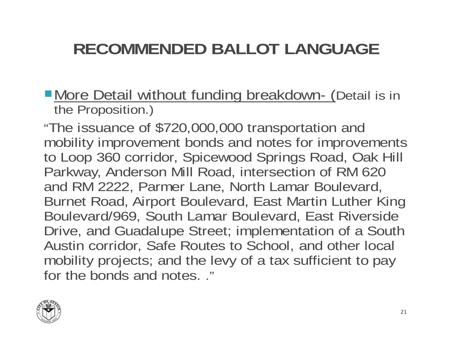# **RECOMMENDED BALLOT LANGUAGE**

**More Detail without funding breakdown- (Detail is in the Proposition.)** 

"The issuance of \$720,000,000 transportation and mobility improvement bonds and notes for improvements to Loop 360 corridor, Spicewood Springs Road, Oak Hill Parkway, Anderson Mill Road, intersection of RM 620 and RM 2222, Parmer Lane, North Lamar Boulevard, Burnet Road, Airport Boulevard, East Martin Luther King Boulevard/969, South Lamar Boulevard, East Riverside Drive, and Guadalupe Street; implementation of a South Austin corridor, Safe Routes to School, and other local mobility projects; and the levy of a tax sufficient to pay for the bonds and notes. ."

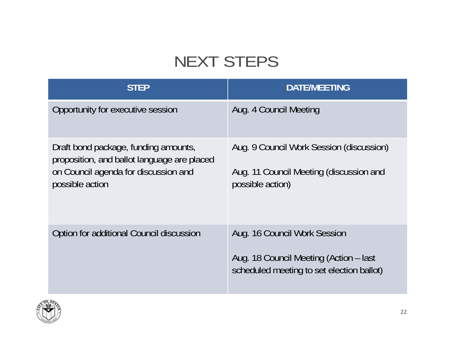# NEXT STEPS

| <b>STEP</b>                                                                                                                                    | <b>DATE/MEETING</b>                                                                                                 |
|------------------------------------------------------------------------------------------------------------------------------------------------|---------------------------------------------------------------------------------------------------------------------|
| Opportunity for executive session                                                                                                              | Aug. 4 Council Meeting                                                                                              |
| Draft bond package, funding amounts,<br>proposition, and ballot language are placed<br>on Council agenda for discussion and<br>possible action | Aug. 9 Council Work Session (discussion)<br>Aug. 11 Council Meeting (discussion and<br>possible action)             |
| Option for additional Council discussion                                                                                                       | Aug. 16 Council Work Session<br>Aug. 18 Council Meeting (Action – last<br>scheduled meeting to set election ballot) |